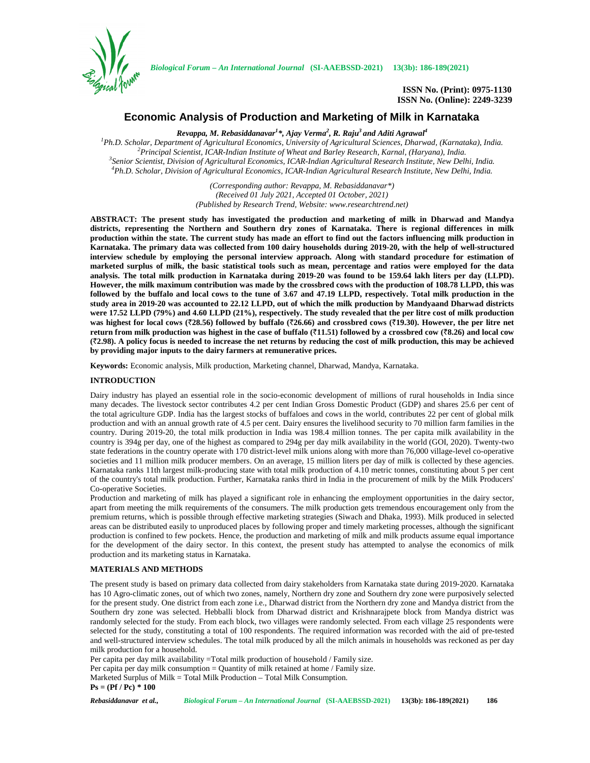

*Biological Forum – An International Journal* **(SI-AAEBSSD-2021) 13(3b): 186-189(2021)**

**ISSN No. (Print): 0975-1130 ISSN No. (Online): 2249-3239**

# **Economic Analysis of Production and Marketing of Milk in Karnataka**

*Revappa, M. Rebasiddanavar<sup>1</sup>\*, Ajay Verma<sup>2</sup> , R. Raju<sup>3</sup> and Aditi Agrawal<sup>4</sup>*

<sup>1</sup>Ph.D. Scholar, Department of Agricultural Economics, University of Agricultural Sciences, Dharwad, (Karnataka), India.<br><sup>2</sup>Principal Scientist, ICAR-Indian Institute of Wheat and Barley Research, Karnal, (Haryana), India

*(Corresponding author: Revappa, M. Rebasiddanavar\*) (Received 01 July 2021, Accepted 01 October, 2021) (Published by Research Trend, Website: <www.researchtrend.net>)*

**ABSTRACT: The present study has investigated the production and marketing of milk in Dharwad and Mandya districts, representing the Northern and Southern dry zones of Karnataka. There is regional differences in milk production within the state. The current study has made an effort to find out the factors influencing milk production in Karnataka. The primary data was collected from 100 dairy households during 2019-20, with the help of well-structured interview schedule by employing the personal interview approach. Along with standard procedure for estimation of marketed surplus of milk, the basic statistical tools such as mean, percentage and ratios were employed for the data analysis. The total milk production in Karnataka during 2019-20 was found to be 159.64 lakh liters per day (LLPD). However, the milk maximum contribution was made by the crossbred cows with the production of 108.78 LLPD, this was followed by the buffalo and local cows to the tune of 3.67 and 47.19 LLPD, respectively. Total milk production in the study area in 2019-20 was accounted to 22.12 LLPD, out of which the milk production by Mandyaand Dharwad districts were 17.52 LLPD (79%) and 4.60 LLPD (21%), respectively. The study revealed that the per litre cost of milk production was highest for local cows (**`**28.56) followed by buffalo (**`**26.66) and crossbred cows (**`**19.30). However, the per litre net** return from milk production was highest in the case of buffalo ( $\bar{z}11.51$ ) followed by a crossbred cow ( $\bar{z}8.26$ ) and local cow **(**`**2.98). A policy focus is needed to increase the net returns by reducing the cost of milk production, this may be achieved by providing major inputs to the dairy farmers at remunerative prices.**

**Keywords:** Economic analysis, Milk production, Marketing channel, Dharwad, Mandya, Karnataka.

# **INTRODUCTION**

Dairy industry has played an essential role in the socio-economic development of millions of rural households in India since many decades. The livestock sector contributes 4.2 per cent Indian Gross Domestic Product (GDP) and shares 25.6 per cent of the total agriculture GDP. India has the largest stocks of buffaloes and cows in the world, contributes 22 per cent of global milk production and with an annual growth rate of 4.5 per cent. Dairy ensures the livelihood security to 70 million farm families in the country. During 2019-20, the total milk production in India was 198.4 million tonnes. The per capita milk availability in the country is 394g per day, one of the highest as compared to 294g per day milk availability in the world (GOI, 2020). Twenty-two state federations in the country operate with 170 district-level milk unions along with more than 76,000 village-level co-operative societies and 11 million milk producer members. On an average, 15 million liters per day of milk is collected by these agencies. Karnataka ranks 11th largest milk-producing state with total milk production of 4.10 metric tonnes, constituting about 5 per cent of the country's total milk production. Further, Karnataka ranks third in India in the procurement of milk by the Milk Producers' Co-operative Societies.

Production and marketing of milk has played a significant role in enhancing the employment opportunities in the dairy sector, apart from meeting the milk requirements of the consumers. The milk production gets tremendous encouragement only from the premium returns, which is possible through effective marketing strategies (Siwach and Dhaka, 1993). Milk produced in selected areas can be distributed easily to unproduced places by following proper and timely marketing processes, although the significant production is confined to few pockets. Hence, the production and marketing of milk and milk products assume equal importance for the development of the dairy sector. In this context, the present study has attempted to analyse the economics of milk production and its marketing status in Karnataka.

### **MATERIALS AND METHODS**

The present study is based on primary data collected from dairy stakeholders from Karnataka state during 2019-2020. Karnataka has 10 Agro-climatic zones, out of which two zones, namely, Northern dry zone and Southern dry zone were purposively selected for the present study. One district from each zone i.e., Dharwad district from the Northern dry zone and Mandya district from the Southern dry zone was selected. Hebballi block from Dharwad district and Krishnarajpete block from Mandya district was randomly selected for the study. From each block, two villages were randomly selected. From each village 25 respondents were selected for the study, constituting a total of 100 respondents. The required information was recorded with the aid of pre-tested and well-structured interview schedules. The total milk produced by all the milch animals in households was reckoned as per day milk production for a household.

Per capita per day milk availability =Total milk production of household / Family size. Per capita per day milk consumption = Quantity of milk retained at home / Family size. Marketed Surplus of Milk = Total Milk Production – Total Milk Consumption. **Ps = (Pf / Pc) \* 100**

*Rebasiddanavar et al., Biological Forum – An International Journal* **(SI-AAEBSSD-2021) 13(3b): 186-189(2021) 186**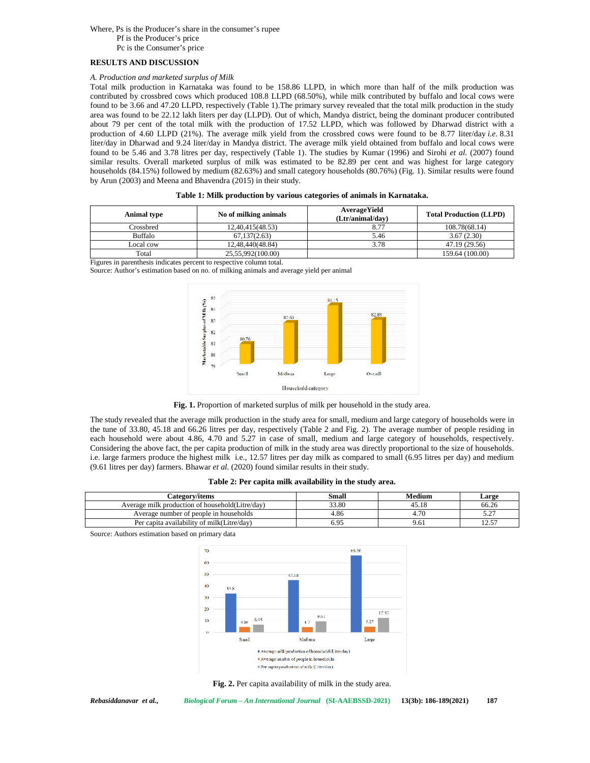### Where, Ps is the Producer's share in the consumer's rupee Pf is the Producer's price Pc is the Consumer's price

# **RESULTS AND DISCUSSION**

## *A. Production and marketed surplus of Milk*

Total milk production in Karnataka was found to be 158.86 LLPD, in which more than half of the milk production was contributed by crossbred cows which produced 108.8 LLPD (68.50%), while milk contributed by buffalo and local cows were found to be 3.66 and 47.20 LLPD, respectively (Table 1).The primary survey revealed that the total milk production in the study area was found to be 22.12 lakh liters per day (LLPD). Out of which, Mandya district, being the dominant producer contributed about 79 per cent of the total milk with the production of 17.52 LLPD, which was followed by Dharwad district with a production of 4.60 LLPD (21%). The average milk yield from the crossbred cows were found to be 8.77 liter/day *i.e.* 8.31 liter/day in Dharwad and 9.24 liter/day in Mandya district. The average milk yield obtained from buffalo and local cows were found to be 5.46 and 3.78 litres per day, respectively (Table 1). The studies by Kumar (1996) and Sirohi *et al.* (2007) found similar results. Overall marketed surplus of milk was estimated to be 82.89 per cent and was highest for large category households (84.15%) followed by medium (82.63%) and small category households (80.76%) (Fig. 1). Similar results were found by Arun (2003) and Meena and Bhavendra (2015) in their study.

| Table 1: Milk production by various categories of animals in Karnataka. |
|-------------------------------------------------------------------------|
|-------------------------------------------------------------------------|

| Animal type | No of milking animals | <b>AverageYield</b><br>(Ltr/animal/day) | <b>Total Production (LLPD)</b> |
|-------------|-----------------------|-----------------------------------------|--------------------------------|
| Crossbred   | 12,40,415(48.53)      | 8.77                                    | 108.78(68.14)                  |
| Buffalo     | 67, 137(2.63)         | 5.46                                    | 3.67(2.30)                     |
| Local cow   | 12.48.440(48.84)      | 3.78                                    | 47.19 (29.56)                  |
| Total       | 25.55.992(100.00)     |                                         | 159.64 (100.00)                |

Figures in parenthesis indicates percent to respective column total.

Source: Author's estimation based on no. of milking animals and average yield per animal





The study revealed that the average milk production in the study area for small, medium and large category of households were in the tune of 33.80, 45.18 and 66.26 litres per day, respectively (Table 2 and Fig. 2). The average number of people residing in each household were about 4.86, 4.70 and 5.27 in case of small, medium and large category of households, respectively. Considering the above fact, the per capita production of milk in the study area was directly proportional to the size of households. i.e. large farmers produce the highest milk i.e., 12.57 litres per day milk as compared to small (6.95 litres per day) and medium (9.61 litres per day) farmers. Bhawar *et al.* (2020) found similar results in their study.

| Category/items                                   | Small | Medium | Large              |
|--------------------------------------------------|-------|--------|--------------------|
| Average milk production of household (Litre/day) | 33.80 | 45.18  | 66.26              |
| Average number of people in households           | 4.86  | 4.70   | <u>.</u>           |
| Per capita availability of milk (Litre/day)      | 6.95  | 9.OI   | $\epsilon$<br>ر… ک |

Source: Authors estimation based on primary data



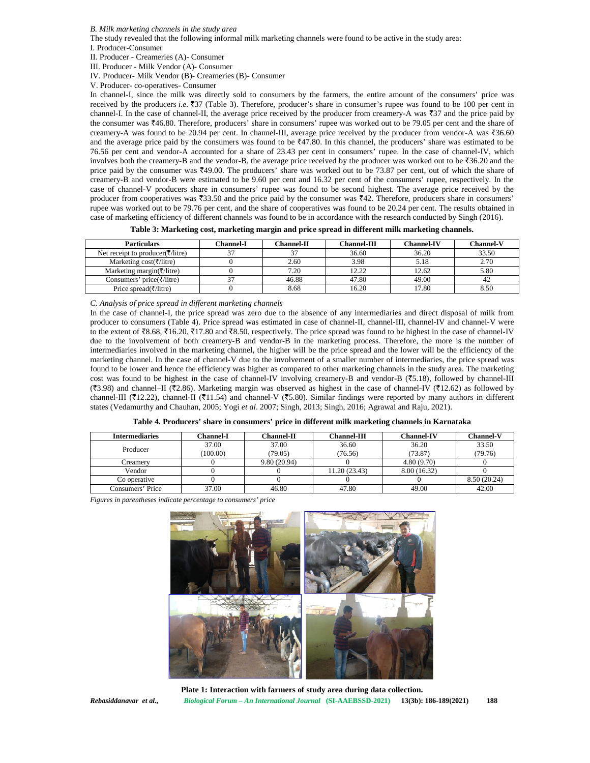#### *B. Milk marketing channels in the study area*

The study revealed that the following informal milk marketing channels were found to be active in the study area: I. Producer-Consumer

II. Producer - Creameries (A)- Consumer

III. Producer - Milk Vendor (A)- Consumer

IV. Producer- Milk Vendor (B)- Creameries (B)- Consumer

V. Producer- co-operatives- Consumer

In channel-I, since the milk was directly sold to consumers by the farmers, the entire amount of the consumers' price was received by the producers *i.e.*  $\bar{\tau}$ 37 (Table 3). Therefore, producer's share in consumer's rupee was found to be 100 per cent in channel-I. In the case of channel-II, the average price received by the producer from creamery-A was  $\overline{3}37$  and the price paid by the consumer was  $*46.80$ . Therefore, producers' share in consumers' rupee was worked out to be 79.05 per cent and the share of creamery-A was found to be 20.94 per cent. In channel-III, average price received by the producer from vendor-A was  $\overline{36.60}$ and the average price paid by the consumers was found to be  $\overline{*}47.80$ . In this channel, the producers' share was estimated to be 76.56 per cent and vendor-A accounted for a share of 23.43 per cent in consumers' rupee. In the case of channel-IV, which involves both the creamery-B and the vendor-B, the average price received by the producer was worked out to be  $\overline{836.20}$  and the price paid by the consumer was  $\bar{x}49.00$ . The producers' share was worked out to be 73.87 per cent, out of which the share of creamery-B and vendor-B were estimated to be 9.60 per cent and 16.32 per cent of the consumers' rupee, respectively. In the case of channel-V producers share in consumers' rupee was found to be second highest. The average price received by the producer from cooperatives was  $\text{\textsterling}33.50$  and the price paid by the consumer was  $\text{\textsterling}42$ . Therefore, producers share in consumers' rupee was worked out to be 79.76 per cent, and the share of cooperatives was found to be 20.24 per cent. The results obtained in case of marketing efficiency of different channels was found to be in accordance with the research conducted by Singh (2016).

|  | Table 3: Marketing cost, marketing margin and price spread in different milk marketing channels. |
|--|--------------------------------------------------------------------------------------------------|
|  |                                                                                                  |

| <b>Particulars</b>                                  | Channel-I | $Channel-II$ | <b>Channel-III</b> | <b>Channel-IV</b> | Channel-V |
|-----------------------------------------------------|-----------|--------------|--------------------|-------------------|-----------|
| Net receipt to producer( $\overline{\zeta}/$ litre) |           | 37           | 36.60              | 36.20             | 33.50     |
| Marketing cost( $\overline{\zeta}/$ litre)          |           | 2.60         | 3.98               | 5.18              | 2.70      |
| Marketing margin( $\overline{\zeta}/$ litre)        |           | 7.20         | 12.22              | 12.62             | 5.80      |
| Consumers' price(₹/litre)                           |           | 46.88        | 47.80              | 49.00             |           |
| Price spread( $\overline{\xi}/$ litre)              |           | 8.68         | 16.20              | 17.80             |           |

*C. Analysis of price spread in different marketing channels*

In the case of channel-I, the price spread was zero due to the absence of any intermediaries and direct disposal of milk from producer to consumers (Table 4). Price spread was estimated in case of channel-II, channel-III, channel-IV and channel-V were to the extent of  $\bar{8}.68$ ,  $\bar{8}16.20$ ,  $\bar{8}17.80$  and  $\bar{8}8.50$ , respectively. The price spread was found to be highest in the case of channel-IV due to the involvement of both creamery-B and vendor-B in the marketing process. Therefore, the more is the number of intermediaries involved in the marketing channel, the higher will be the price spread and the lower will be the efficiency of the marketing channel. In the case of channel-V due to the involvement of a smaller number of intermediaries, the price spread was found to be lower and hence the efficiency was higher as compared to other marketing channels in the study area. The marketing cost was found to be highest in the case of channel-IV involving creamery-B and vendor-B ( $\overline{5}$ 5.18), followed by channel-III  $(\bar{z}3.98)$  and channel–II ( $\bar{z}2.86$ ). Marketing margin was observed as highest in the case of channel-IV ( $\bar{z}12.62$ ) as followed by channel-III ( $\bar{\ell}$ 12.22), channel-II ( $\bar{\ell}$ 11.54) and channel-V ( $\bar{\ell}$ 5.80). Similar findings were reported by many authors in different states (Vedamurthy and Chauhan, 2005; Yogi *et al*. 2007; Singh, 2013; Singh, 2016; Agrawal and Raju, 2021).

|  | Table 4. Producers' share in consumers' price in different milk marketing channels in Karnataka |
|--|-------------------------------------------------------------------------------------------------|
|--|-------------------------------------------------------------------------------------------------|

| <b>Intermediaries</b> | $\mathbb{C}$ hannel- $\mathbf{I}$ | Channel-II   | <b>Channel-III</b> | <b>Channel-IV</b> | <b>Channel-V</b> |
|-----------------------|-----------------------------------|--------------|--------------------|-------------------|------------------|
| Producer              | 37.00                             | 37.00        | 36.60              | 36.20             | 33.50            |
|                       | (100.00)                          | (79.05)      | (76.56)            | (73.87)           | (79.76)          |
| Creamerv              |                                   | 9.80 (20.94) |                    | 4.80 (9.70)       |                  |
| Vendor                |                                   |              | 11.20 (23.43)      | 8.00 (16.32)      |                  |
| Co operative          |                                   |              |                    |                   | 8.50 (20.24)     |
| Consumers' Price      | 37.00                             | 46.80        | 47.80              | 49.00             | 42.00            |

*Figures in parentheses indicate percentage to consumers' price*



*Rebasiddanavar et al., Biological Forum – An International Journal* **(SI-AAEBSSD-2021) 13(3b): 186-189(2021) 188 Plate 1: Interaction with farmers of study area during data collection.**